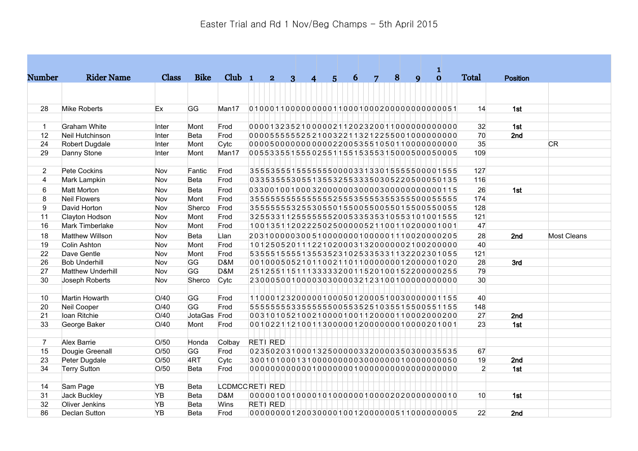|                  |                        |            |              |                |                                           |   |                         |   |   |                |   |              | 1            |                |                 |                    |
|------------------|------------------------|------------|--------------|----------------|-------------------------------------------|---|-------------------------|---|---|----------------|---|--------------|--------------|----------------|-----------------|--------------------|
| <b>Number</b>    | <b>Rider Name</b>      | Class      | <b>Bike</b>  | $Club$ 1       | $\overline{2}$                            | 3 | $\overline{\mathbf{4}}$ | 5 | 6 | $\overline{7}$ | 8 | $\mathbf{Q}$ | $\mathbf{o}$ | <b>Total</b>   | <b>Position</b> |                    |
|                  |                        |            |              |                |                                           |   |                         |   |   |                |   |              |              |                |                 |                    |
| 28               | <b>Mike Roberts</b>    | Ex         | GG           | Man17          |                                           |   |                         |   |   |                |   |              |              | 14             | 1st             |                    |
|                  |                        |            |              |                |                                           |   |                         |   |   |                |   |              |              |                |                 |                    |
| $\mathbf{1}$     | <b>Graham White</b>    | Inter      | Mont         | Frod           |                                           |   |                         |   |   |                |   |              |              | 32             | 1st             |                    |
| 12               | Neil Hutchinson        | Inter      | <b>Beta</b>  | Frod           | 0000555555252100322113212255001000000000  |   |                         |   |   |                |   |              |              | 70             | 2nd             |                    |
| 24               | Robert Dugdale         | Inter      | Mont         | Cytc           |                                           |   |                         |   |   |                |   |              |              | 35             |                 | <b>CR</b>          |
| 29               | Danny Stone            | Inter      | Mont         | Man17          | 0055335515550255115515355315000500050005  |   |                         |   |   |                |   |              |              | 109            |                 |                    |
| $\overline{2}$   | Pete Cockins           | <b>Nov</b> | Fantic       | Frod           | 3555355515555555000033133015555500001555  |   |                         |   |   |                |   |              |              | 127            |                 |                    |
| 4                | Mark Lampkin           | Nov        | <b>Beta</b>  | Frod           | 0335355530551355325533350305220500050135  |   |                         |   |   |                |   |              |              | 116            |                 |                    |
| 6                | <b>Matt Morton</b>     | Nov        | Beta         | Frod           |                                           |   |                         |   |   |                |   |              |              | 26             | 1st             |                    |
| 8                | <b>Neil Flowers</b>    | Nov        | Mont         | Frod           | 35555555555555552555355535555500055555    |   |                         |   |   |                |   |              |              | 174            |                 |                    |
| $\boldsymbol{9}$ | David Horton           | Nov        | Sherco       | Frod           | 355555532553055015500550055015500550055   |   |                         |   |   |                |   |              |              | 128            |                 |                    |
| 11               | Clayton Hodson         | Nov        | Mont         | Frod           | 325533112555555200533535310553101001555   |   |                         |   |   |                |   |              |              | 121            |                 |                    |
| 16               | Mark Timberlake        | Nov        | Mont         | Frod           | 1001351120222502500000521100110200001001  |   |                         |   |   |                |   |              |              | 47             |                 |                    |
| 18               | <b>Matthew Willson</b> | Nov        | Beta         | Llan           | 2031000003005100000001000001110020000205  |   |                         |   |   |                |   |              |              | 28             | 2nd             | <b>Most Cleans</b> |
| 19               | Colin Ashton           | Nov        | Mont         | Frod           | 1012505201112210200031320000002100200000  |   |                         |   |   |                |   |              |              | 40             |                 |                    |
| 22               | Dave Gentle            | Nov        | Mont         | Frod           | 5355515555135535231025335331132202301055  |   |                         |   |   |                |   |              |              | 121            |                 |                    |
| 26               | <b>Bob Underhill</b>   | Nov        | GG           | D&M            | 0010005052101100211011000000012000001020  |   |                         |   |   |                |   |              |              | 28             | 3rd             |                    |
| 27               | Matthew Underhill      | Nov        | GG           | D&M            | 251255115111333320011520100152200000255   |   |                         |   |   |                |   |              |              | 79             |                 |                    |
| 30               | Joseph Roberts         | Nov        | Sherco       | Cytc           |                                           |   |                         |   |   |                |   |              |              | 30             |                 |                    |
| 10               | Martin Howarth         | O/40       | GG           | Frod           | 1100012320000010005012000510030000001155  |   |                         |   |   |                |   |              |              | 40             |                 |                    |
| 20               | Neil Cooper            | O/40       | GG           | Frod           | 5555555533555555005535251035515500551155  |   |                         |   |   |                |   |              |              | 148            |                 |                    |
| 21               | Ioan Ritchie           | O/40       | JotaGas Frod |                | 0031010521002100001001120000110002000200  |   |                         |   |   |                |   |              |              | 27             | 2nd             |                    |
| 33               | George Baker           | O/40       | Mont         | Frod           | 0010221121001130000012000000010000201001  |   |                         |   |   |                |   |              |              | 23             | 1st             |                    |
| $\overline{7}$   | Alex Barrie            | O/50       | Honda        | Colbay         | RETI RED                                  |   |                         |   |   |                |   |              |              |                |                 |                    |
| 15               | Dougie Greenall        | O/50       | GG           | Frod           | 02350203100013250000033200003503000035535 |   |                         |   |   |                |   |              |              | 67             |                 |                    |
| 23               | Peter Dugdale          | O/50       | 4RT          | Cytc           |                                           |   |                         |   |   |                |   |              |              | 19             | 2nd             |                    |
| 34               | <b>Terry Sutton</b>    | O/50       | <b>Beta</b>  | Frod           |                                           |   |                         |   |   |                |   |              |              | $\overline{2}$ | 1st             |                    |
| 14               | Sam Page               | <b>YB</b>  | <b>Beta</b>  | LCDMCCRETI RED |                                           |   |                         |   |   |                |   |              |              |                |                 |                    |
| 31               | Jack Buckley           | <b>YB</b>  | <b>Beta</b>  | D&M            |                                           |   |                         |   |   |                |   |              |              | 10             | 1st             |                    |
| 32               | Oliver Jenkins         | <b>YB</b>  | <b>Beta</b>  | Wins           | <b>RETI RED</b>                           |   |                         |   |   |                |   |              |              |                |                 |                    |
| 86               | Declan Sutton          | <b>YB</b>  | <b>Beta</b>  | Frod           | 0000000012003000010012000000511000000005  |   |                         |   |   |                |   |              |              | 22             | 2nd             |                    |
|                  |                        |            |              |                |                                           |   |                         |   |   |                |   |              |              |                |                 |                    |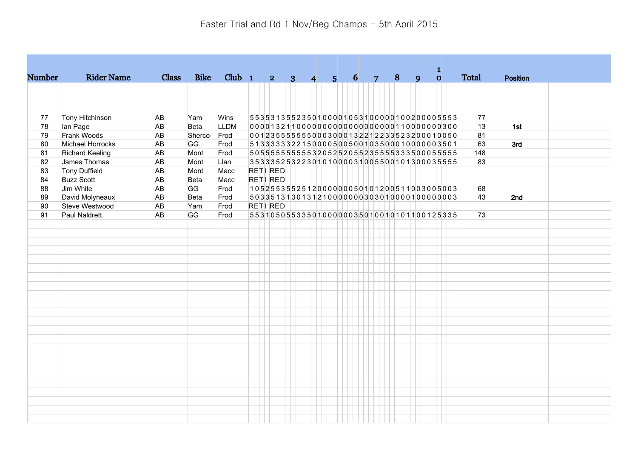|               |                        |              |             |             |                                           |                         |                |                |                |       |   |              | 1            |              |                 |  |
|---------------|------------------------|--------------|-------------|-------------|-------------------------------------------|-------------------------|----------------|----------------|----------------|-------|---|--------------|--------------|--------------|-----------------|--|
| <b>Number</b> | <b>Rider Name</b>      | <b>Class</b> | <b>Bike</b> | $Club$ 1    | 2 <sup>1</sup>                            | $\overline{\mathbf{3}}$ | $\overline{4}$ | 5 <sup>1</sup> | 6 <sup>1</sup> | $7 -$ | 8 | $\mathbf{Q}$ | $\mathbf{o}$ | <b>Total</b> | <b>Position</b> |  |
|               |                        |              |             |             |                                           |                         |                |                |                |       |   |              |              |              |                 |  |
|               |                        |              |             |             |                                           |                         |                |                |                |       |   |              |              |              |                 |  |
|               |                        |              |             |             |                                           |                         |                |                |                |       |   |              |              |              |                 |  |
| 77            | Tony Hitchinson        | AB           | Yam         | Wins        | 5535313552350100001053100000100200005553  |                         |                |                |                |       |   |              |              | 77           |                 |  |
| 78            | lan Page               | AB           | <b>Beta</b> | <b>LLDM</b> | 00001321100000000000000000001100000000300 |                         |                |                |                |       |   |              |              | 13           | 1st             |  |
| 79            | Frank Woods            | AB           | Sherco Frod |             | 0012355555550003000132212233523200010050  |                         |                |                |                |       |   |              |              | 81           |                 |  |
| 80            | Michael Horrocks       | <b>AB</b>    | GG          | Frod        | 513333322150000500500103500010000003501   |                         |                |                |                |       |   |              |              | 63           | 3rd             |  |
| 81            | <b>Richard Keeling</b> | AB           | Mont        | Frod        | 5055555555553205252055235555333500055555  |                         |                |                |                |       |   |              |              | 148          |                 |  |
| 82            | James Thomas           | AB           | Mont        | Llan        | 3533352532230101000031005500101300035555  |                         |                |                |                |       |   |              |              | 83           |                 |  |
| 83            | <b>Tony Duffield</b>   | AB           | Mont        | Macc        | RETI RED                                  |                         |                |                |                |       |   |              |              |              |                 |  |
| 84            | <b>Buzz Scott</b>      | AB           | <b>Beta</b> | Macc        | RETI RED                                  |                         |                |                |                |       |   |              |              |              |                 |  |
| 88            | Jim White              | AB           | GG          | Frod        | 1052553552512000000050101200511003005003  |                         |                |                |                |       |   |              |              | 68           |                 |  |
| 89            | David Molyneaux        | AB           | <b>Beta</b> | Frod        | 5033513130131210000000303010000100000000  |                         |                |                |                |       |   |              |              | 43           | 2nd             |  |
| 90            | Steve Westwood         | AB           | Yam         | Frod        | RETI RED                                  |                         |                |                |                |       |   |              |              |              |                 |  |
| 91            | Paul Naldrett          | AB           | GG          | Frod        | 5531050553350100000035010010101100125335  |                         |                |                |                |       |   |              |              | 73           |                 |  |
|               |                        |              |             |             |                                           |                         |                |                |                |       |   |              |              |              |                 |  |
|               |                        |              |             |             |                                           |                         |                |                |                |       |   |              |              |              |                 |  |
|               |                        |              |             |             |                                           |                         |                |                |                |       |   |              |              |              |                 |  |
|               |                        |              |             |             |                                           |                         |                |                |                |       |   |              |              |              |                 |  |
|               |                        |              |             |             |                                           |                         |                |                |                |       |   |              |              |              |                 |  |
|               |                        |              |             |             |                                           |                         |                |                |                |       |   |              |              |              |                 |  |
|               |                        |              |             |             |                                           |                         |                |                |                |       |   |              |              |              |                 |  |
|               |                        |              |             |             |                                           |                         |                |                |                |       |   |              |              |              |                 |  |
|               |                        |              |             |             |                                           |                         |                |                |                |       |   |              |              |              |                 |  |
|               |                        |              |             |             |                                           |                         |                |                |                |       |   |              |              |              |                 |  |
|               |                        |              |             |             |                                           |                         |                |                |                |       |   |              |              |              |                 |  |
|               |                        |              |             |             |                                           |                         |                |                |                |       |   |              |              |              |                 |  |
|               |                        |              |             |             |                                           |                         |                |                |                |       |   |              |              |              |                 |  |
|               |                        |              |             |             |                                           |                         |                |                |                |       |   |              |              |              |                 |  |
|               |                        |              |             |             |                                           |                         |                |                |                |       |   |              |              |              |                 |  |
|               |                        |              |             |             |                                           |                         |                |                |                |       |   |              |              |              |                 |  |
|               |                        |              |             |             |                                           |                         |                |                |                |       |   |              |              |              |                 |  |
|               |                        |              |             |             |                                           |                         |                |                |                |       |   |              |              |              |                 |  |
|               |                        |              |             |             |                                           |                         |                |                |                |       |   |              |              |              |                 |  |
|               |                        |              |             |             |                                           |                         |                |                |                |       |   |              |              |              |                 |  |
|               |                        |              |             |             |                                           |                         |                |                |                |       |   |              |              |              |                 |  |
|               |                        |              |             |             |                                           |                         |                |                |                |       |   |              |              |              |                 |  |
|               |                        |              |             |             |                                           |                         |                |                |                |       |   |              |              |              |                 |  |
|               |                        |              |             |             |                                           |                         |                |                |                |       |   |              |              |              |                 |  |